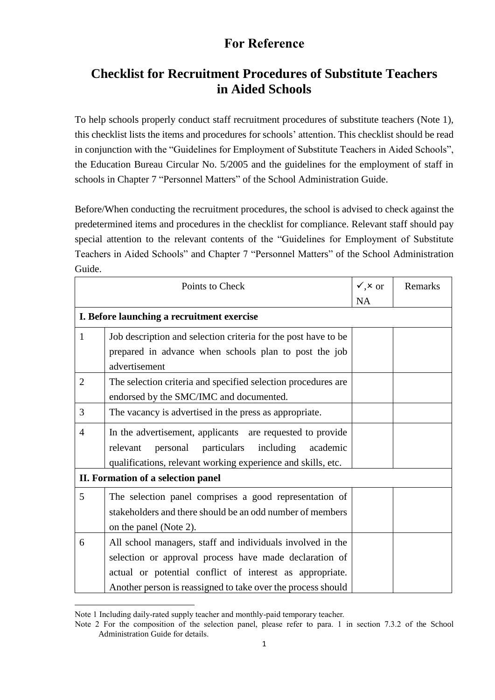### **Checklist for Recruitment Procedures of Substitute Teachers in Aided Schools**

To help schools properly conduct staff recruitment procedures of substitute teachers (Note 1), this checklist lists the items and procedures for schools' attention. This checklist should be read in conjunction with the "Guidelines for Employment of Substitute Teachers in Aided Schools", the Education Bureau Circular No. 5/2005 and the guidelines for the employment of staff in schools in Chapter 7 "Personnel Matters" of the School Administration Guide.

Before/When conducting the recruitment procedures, the school is advised to check against the predetermined items and procedures in the checklist for compliance. Relevant staff should pay special attention to the relevant contents of the "Guidelines for Employment of Substitute Teachers in Aided Schools" and Chapter 7 "Personnel Matters" of the School Administration Guide.

| Points to Check                            |                                                                | $\checkmark$ , $\times$ or | Remarks |
|--------------------------------------------|----------------------------------------------------------------|----------------------------|---------|
|                                            |                                                                | <b>NA</b>                  |         |
| I. Before launching a recruitment exercise |                                                                |                            |         |
| 1                                          | Job description and selection criteria for the post have to be |                            |         |
|                                            | prepared in advance when schools plan to post the job          |                            |         |
|                                            | advertisement                                                  |                            |         |
| $\overline{2}$                             | The selection criteria and specified selection procedures are  |                            |         |
|                                            | endorsed by the SMC/IMC and documented.                        |                            |         |
| 3                                          | The vacancy is advertised in the press as appropriate.         |                            |         |
| 4                                          | In the advertisement, applicants are requested to provide      |                            |         |
|                                            | personal particulars<br>including<br>relevant<br>academic      |                            |         |
|                                            | qualifications, relevant working experience and skills, etc.   |                            |         |
| II. Formation of a selection panel         |                                                                |                            |         |
| 5                                          | The selection panel comprises a good representation of         |                            |         |
|                                            | stakeholders and there should be an odd number of members      |                            |         |
|                                            | on the panel (Note 2).                                         |                            |         |
| 6                                          | All school managers, staff and individuals involved in the     |                            |         |
|                                            | selection or approval process have made declaration of         |                            |         |
|                                            | actual or potential conflict of interest as appropriate.       |                            |         |
|                                            | Another person is reassigned to take over the process should   |                            |         |

Note 1 Including daily-rated supply teacher and monthly-paid temporary teacher.

-

Note 2 For the composition of the selection panel, please refer to para. 1 in section 7.3.2 of the School Administration Guide for details.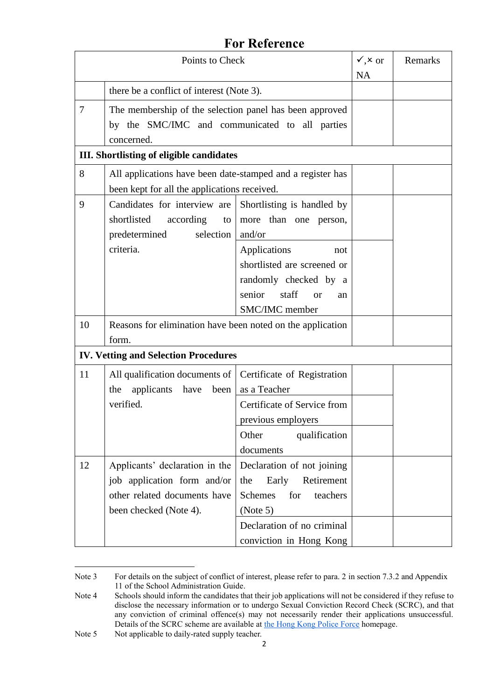| Points to Check                             |                                                                                                                         | $\sqrt{x}$ or<br><b>NA</b>                                                                                                              | Remarks |  |
|---------------------------------------------|-------------------------------------------------------------------------------------------------------------------------|-----------------------------------------------------------------------------------------------------------------------------------------|---------|--|
|                                             | there be a conflict of interest (Note 3).                                                                               |                                                                                                                                         |         |  |
| 7                                           | The membership of the selection panel has been approved<br>by the SMC/IMC and communicated to all parties<br>concerned. |                                                                                                                                         |         |  |
|                                             | <b>III.</b> Shortlisting of eligible candidates                                                                         |                                                                                                                                         |         |  |
| 8                                           | All applications have been date-stamped and a register has<br>been kept for all the applications received.              |                                                                                                                                         |         |  |
| 9                                           | Candidates for interview are<br>shortlisted<br>according<br>$\mathsf{to}$<br>predetermined<br>selection<br>criteria.    | Shortlisting is handled by<br>more than one person,<br>and/or<br>Applications<br>not                                                    |         |  |
|                                             |                                                                                                                         | shortlisted are screened or<br>randomly checked by a<br>senior<br>staff<br><sub>or</sub><br>an<br>SMC/IMC member                        |         |  |
| 10                                          | Reasons for elimination have been noted on the application<br>form.                                                     |                                                                                                                                         |         |  |
| <b>IV. Vetting and Selection Procedures</b> |                                                                                                                         |                                                                                                                                         |         |  |
| 11                                          | All qualification documents of   Certificate of Registration<br>applicants have<br>been<br>the<br>verified.             | as a Teacher<br>Certificate of Service from<br>previous employers<br>qualification<br>Other                                             |         |  |
|                                             |                                                                                                                         | documents                                                                                                                               |         |  |
| 12                                          | Applicants' declaration in the<br>job application form and/or<br>other related documents have<br>been checked (Note 4). | Declaration of not joining<br>Early<br>the<br>Retirement<br><b>Schemes</b><br>teachers<br>for<br>(Note 5)<br>Declaration of no criminal |         |  |
|                                             |                                                                                                                         | conviction in Hong Kong                                                                                                                 |         |  |

<sup>-</sup>Note 3 For details on the subject of conflict of interest, please refer to para. 2 in section 7.3.2 and Appendix 11 of the School Administration Guide.

Note 4 Schools should inform the candidates that their job applications will not be considered if they refuse to disclose the necessary information or to undergo Sexual Conviction Record Check (SCRC), and that any conviction of criminal offence(s) may not necessarily render their applications unsuccessful. Details of the SCRC scheme are available at the [Hong Kong Police Force](http://twdc.police.gov.hk/ppp_en/11_useful_info/scrc.html) homepage.

Note 5 Not applicable to daily-rated supply teacher.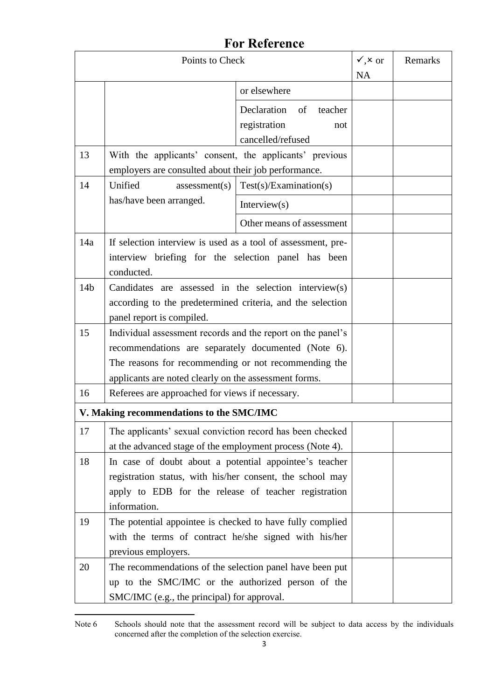| Points to Check                          |                                                                                                                                                                                                                                     |                                                                          | $\sqrt{,x}$ or<br><b>NA</b> | Remarks |
|------------------------------------------|-------------------------------------------------------------------------------------------------------------------------------------------------------------------------------------------------------------------------------------|--------------------------------------------------------------------------|-----------------------------|---------|
|                                          |                                                                                                                                                                                                                                     | or elsewhere                                                             |                             |         |
|                                          |                                                                                                                                                                                                                                     | Declaration<br>of<br>teacher<br>registration<br>not<br>cancelled/refused |                             |         |
| 13                                       | With the applicants' consent, the applicants' previous<br>employers are consulted about their job performance.                                                                                                                      |                                                                          |                             |         |
| 14                                       | Unified<br>assessment(s)                                                                                                                                                                                                            | Test(s)/Examination(s)                                                   |                             |         |
|                                          | has/have been arranged.                                                                                                                                                                                                             | Interview $(s)$                                                          |                             |         |
|                                          |                                                                                                                                                                                                                                     | Other means of assessment                                                |                             |         |
| 14a                                      | If selection interview is used as a tool of assessment, pre-<br>interview briefing for the selection panel has been<br>conducted.                                                                                                   |                                                                          |                             |         |
| 14 <sub>b</sub>                          | Candidates are assessed in the selection interview(s)<br>according to the predetermined criteria, and the selection<br>panel report is compiled.                                                                                    |                                                                          |                             |         |
| 15                                       | Individual assessment records and the report on the panel's<br>recommendations are separately documented (Note 6).<br>The reasons for recommending or not recommending the<br>applicants are noted clearly on the assessment forms. |                                                                          |                             |         |
| 16                                       | Referees are approached for views if necessary.                                                                                                                                                                                     |                                                                          |                             |         |
| V. Making recommendations to the SMC/IMC |                                                                                                                                                                                                                                     |                                                                          |                             |         |
| 17                                       | The applicants' sexual conviction record has been checked<br>at the advanced stage of the employment process (Note 4).                                                                                                              |                                                                          |                             |         |
| 18                                       | In case of doubt about a potential appointee's teacher<br>registration status, with his/her consent, the school may<br>apply to EDB for the release of teacher registration<br>information.                                         |                                                                          |                             |         |
| 19                                       | The potential appointee is checked to have fully complied<br>with the terms of contract he/she signed with his/her<br>previous employers.                                                                                           |                                                                          |                             |         |
| 20                                       | The recommendations of the selection panel have been put<br>up to the SMC/IMC or the authorized person of the<br>SMC/IMC (e.g., the principal) for approval.                                                                        |                                                                          |                             |         |

<sup>-</sup>Note 6 Schools should note that the assessment record will be subject to data access by the individuals concerned after the completion of the selection exercise.